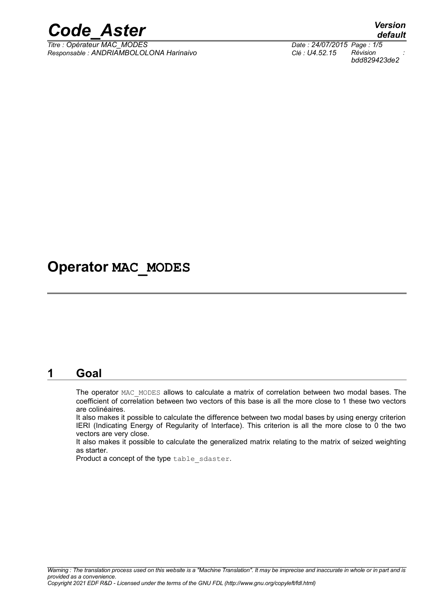

*Titre : Opérateur MAC\_MODES Date : 24/07/2015 Page : 1/5 Responsable : ANDRIAMBOLOLONA Harinaivo Clé : U4.52.15 Révision :*

## **Operator MAC\_MODES**

### **1 Goal**

The operator MAC\_MODES allows to calculate a matrix of correlation between two modal bases. The coefficient of correlation between two vectors of this base is all the more close to 1 these two vectors are colinéaires.

It also makes it possible to calculate the difference between two modal bases by using energy criterion IERI (Indicating Energy of Regularity of Interface). This criterion is all the more close to 0 the two vectors are very close.

It also makes it possible to calculate the generalized matrix relating to the matrix of seized weighting as starter.

Product a concept of the type table sdaster.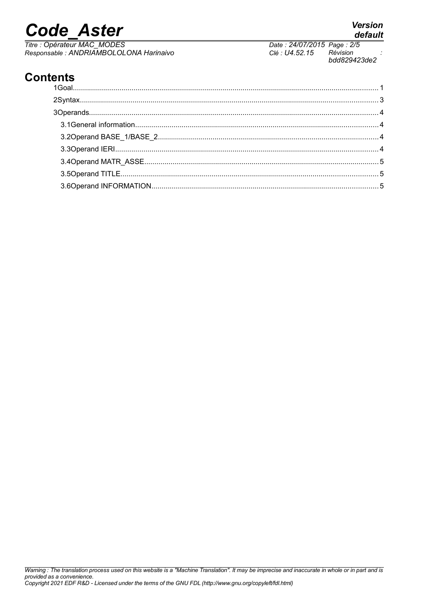# **Code Aster**

Titre : Opérateur MAC\_MODES<br>Responsable : ANDRIAMBOLOLONA Harinaivo

# Clé : U4.52.15

#### Date: 24/07/2015 Page: 2/5 Révision bdd829423de2

**Version** 

default

### **Contents**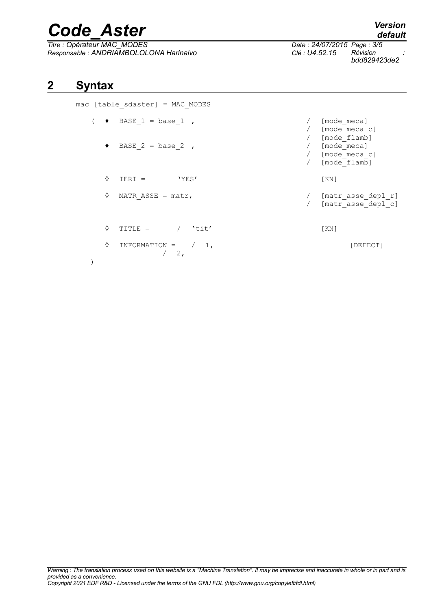# *Code\_Aster Version*

*Titre : Opérateur MAC\_MODES Date : 24/07/2015 Page : 3/5 Responsable : ANDRIAMBOLOLONA Harinaivo Clé : U4.52.15 Révision :*

*bdd829423de2*

### **2 Syntax**

)

mac [table\_sdaster] = MAC\_MODES

|   |                             |                     | [mode meca]<br>[mode meca c]                                 |
|---|-----------------------------|---------------------|--------------------------------------------------------------|
|   | BASE $2 = base 2$ ,         |                     | [mode flamb]<br>[mode meca]<br>[mode meca c]<br>[mode flamb] |
| ♦ | 'YES'<br>$IERT =$           |                     | KN                                                           |
| ♦ | MATR ASSE = $\text{matr}$ , |                     | [matr asse depl r]<br>[matr asse depl c]                     |
| ♦ | $/$ 'tit'<br>$TITLE =$      |                     | KN                                                           |
| ♦ | INFORMATION = $/ 1,$<br>2,  |                     | [DEFECT]                                                     |
|   |                             | BASE $1 = base 1$ , |                                                              |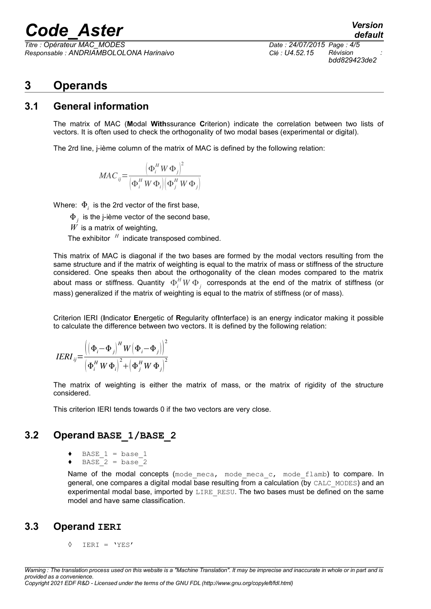# *Code\_Aster Version*

*Titre : Opérateur MAC\_MODES Date : 24/07/2015 Page : 4/5 Responsable : ANDRIAMBOLOLONA Harinaivo Clé : U4.52.15 Révision :*

*bdd829423de2*

*default*

### **3 Operands**

#### **3.1 General information**

The matrix of MAC (**M**odal **With**ssurance **C**riterion) indicate the correlation between two lists of vectors. It is often used to check the orthogonality of two modal bases (experimental or digital).

The 2rd line, j-ième column of the matrix of MAC is defined by the following relation:

$$
MAC_{ij} = \frac{\left(\Phi_i^H W \Phi_j\right)^2}{\left(\Phi_i^H W \Phi_i\right) \left(\Phi_j^H W \Phi_j\right)}
$$

Where:  $\Phi_i^+$  is the 2rd vector of the first base,

 $\Phi_{_j}$  is the j-ième vector of the second base,

*W* is a matrix of weighting,

The exhibitor *<sup>H</sup>* indicate transposed combined.

This matrix of MAC is diagonal if the two bases are formed by the modal vectors resulting from the same structure and if the matrix of weighting is equal to the matrix of mass or stiffness of the structure considered. One speaks then about the orthogonality of the clean modes compared to the matrix about mass or stiffness. Quantity  $\Phi_i^H W \, \Phi_j^{\phantom{H}}$  corresponds at the end of the matrix of stiffness (or mass) generalized if the matrix of weighting is equal to the matrix of stiffness (or of mass).

Criterion IERI (**I**ndicator **E**nergetic of **R**egularity of**I**nterface) is an energy indicator making it possible to calculate the difference between two vectors. It is defined by the following relation:

$$
IERI_{ij} = \frac{\left( \left( \Phi_i - \Phi_j \right)^H W \left( \Phi_i - \Phi_j \right) \right)^2}{\left( \Phi_i^H W \Phi_i \right)^2 + \left( \Phi_j^H W \Phi_j \right)^2}
$$

The matrix of weighting is either the matrix of mass, or the matrix of rigidity of the structure considered.

This criterion IERI tends towards 0 if the two vectors are very close.

### **3.2 Operand BASE\_1/BASE\_2**

- BASE  $1 = base 1$
- $BASE^2 = base^2$

Name of the modal concepts (mode meca, mode meca c, mode flamb) to compare. In general, one compares a digital modal base resulting from a calculation (by CALC\_MODES) and an experimental modal base, imported by LIRE\_RESU. The two bases must be defined on the same model and have same classification.

#### **3.3 Operand IERI**

◊ IERI = 'YES'